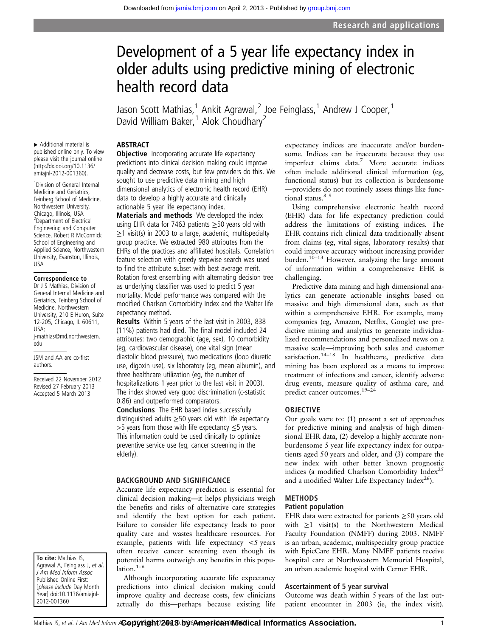# Development of a 5 year life expectancy index in older adults using predictive mining of electronic health record data

Jason Scott Mathias,<sup>1</sup> Ankit Agrawal,<sup>2</sup> Joe Feinglass,<sup>1</sup> Andrew J Cooper,<sup>1</sup> David William Baker,<sup>1</sup> Alok Choudhary<sup>2</sup>

# **ABSTRACT**

▸ Additional material is published online only. To view please visit the journal online [\(http://dx.doi.org/10.1136/](http://dx.doi.org/10.1136/amiajnl-2012-001360) [amiajnl-2012-001360\)](http://dx.doi.org/10.1136/amiajnl-2012-001360).

1 Division of General Internal Medicine and Geriatrics, Feinberg School of Medicine, Northwestern University, Chicago, Illinois, USA 2 Department of Electrical Engineering and Computer Science, Robert R McCormick School of Engineering and Applied Science, Northwestern University, Evanston, Illinois, USA

# Correspondence to

Dr J S Mathias, Division of General Internal Medicine and Geriatrics, Feinberg School of Medicine, Northwestern University, 210 E Huron, Suite 12-205, Chicago, IL 60611, USA; j-mathias@md.northwestern. edu

JSM and AA are co-first authors.

Received 22 November 2012 Revised 27 February 2013 Accepted 5 March 2013

To cite: Mathias JS, Agrawal A, Feinglass J, et al. J Am Med Inform Assoc Published Online First: [please include Day Month Year] doi:10.1136/amiajnl-2012-001360

**Objective** Incorporating accurate life expectancy predictions into clinical decision making could improve quality and decrease costs, but few providers do this. We sought to use predictive data mining and high dimensional analytics of electronic health record (EHR) data to develop a highly accurate and clinically actionable 5 year life expectancy index.

Materials and methods We developed the index using EHR data for 7463 patients  $\geq$  50 years old with  $\geq$ 1 visit(s) in 2003 to a large, academic, multispecialty group practice. We extracted 980 attributes from the EHRs of the practices and affiliated hospitals. Correlation feature selection with greedy stepwise search was used to find the attribute subset with best average merit. Rotation forest ensembling with alternating decision tree as underlying classifier was used to predict 5 year mortality. Model performance was compared with the modified Charlson Comorbidity Index and the Walter life expectancy method.

Results Within 5 years of the last visit in 2003, 838 (11%) patients had died. The final model included 24 attributes: two demographic (age, sex), 10 comorbidity (eg, cardiovascular disease), one vital sign (mean diastolic blood pressure), two medications (loop diuretic use, digoxin use), six laboratory (eg, mean albumin), and three healthcare utilization (eg, the number of hospitalizations 1 year prior to the last visit in 2003). The index showed very good discrimination (c-statistic 0.86) and outperformed comparators.

Conclusions The EHR based index successfully distinguished adults  $\geq$  50 years old with life expectancy >5 years from those with life expectancy ≤5 years. This information could be used clinically to optimize preventive service use (eg, cancer screening in the elderly).

# BACKGROUND AND SIGNIFICANCE

Accurate life expectancy prediction is essential for clinical decision making—it helps physicians weigh the benefits and risks of alternative care strategies and identify the best option for each patient. Failure to consider life expectancy leads to poor quality care and wastes healthcare resources. For example, patients with life expectancy <5 years often receive cancer screening even though its potential harms outweigh any benefits in this popu- $\hat{a}$ lation.<sup>1–6</sup>

Although incorporating accurate life expectancy predictions into clinical decision making could improve quality and decrease costs, few clinicians actually do this—perhaps because existing life

expectancy indices are inaccurate and/or burdensome. Indices can be inaccurate because they use imperfect claims data.<sup>7</sup> More accurate indices often include additional clinical information (eg, functional status) but its collection is burdensome —providers do not routinely assess things like functional status.<sup>89</sup>

Using comprehensive electronic health record (EHR) data for life expectancy prediction could address the limitations of existing indices. The EHR contains rich clinical data traditionally absent from claims (eg, vital signs, laboratory results) that could improve accuracy without increasing provider burden.<sup>10–13</sup> However, analyzing the large amount of information within a comprehensive EHR is challenging.

Predictive data mining and high dimensional analytics can generate actionable insights based on massive and high dimensional data, such as that within a comprehensive EHR. For example, many companies (eg, Amazon, Netflix, Google) use predictive mining and analytics to generate individualized recommendations and personalized news on a massive scale—improving both sales and customer satisfaction.<sup>14–18</sup> In healthcare, predictive data mining has been explored as a means to improve treatment of infections and cancer, identify adverse drug events, measure quality of asthma care, and predict cancer outcomes.19–<sup>24</sup>

## OBJECTIVE

Our goals were to: (1) present a set of approaches for predictive mining and analysis of high dimensional EHR data, (2) develop a highly accurate nonburdensome 5 year life expectancy index for outpatients aged 50 years and older, and (3) compare the new index with other better known prognostic indices (a modified Charlson Comorbidity Index<sup>25</sup> and a modified Walter Life Expectancy Index $^{26}$ ).

# METHODS

### Patient population

EHR data were extracted for patients  $\geq$ 50 years old with  $\geq 1$  visit(s) to the Northwestern Medical Faculty Foundation (NMFF) during 2003. NMFF is an urban, academic, multispecialty group practice with EpicCare EHR. Many NMFF patients receive hospital care at Northwestern Memorial Hospital, an urban academic hospital with Cerner EHR.

# Ascertainment of 5 year survival

Outcome was death within 5 years of the last outpatient encounter in 2003 (ie, the index visit).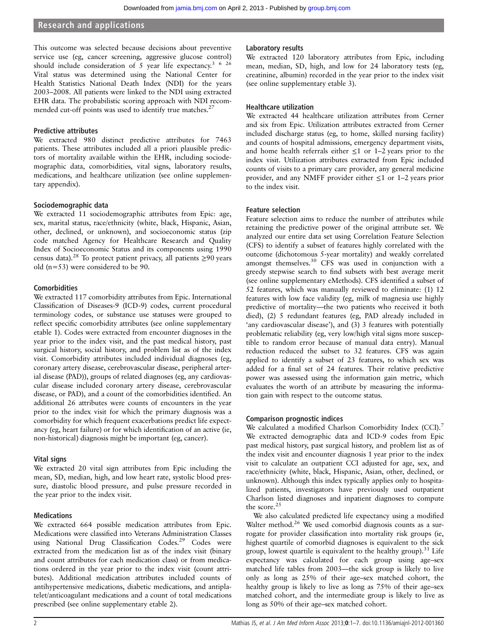# Research and applications

This outcome was selected because decisions about preventive service use (eg, cancer screening, aggressive glucose control) should include consideration of 5 year life expectancy.<sup>3 6 26</sup> Vital status was determined using the National Center for Health Statistics National Death Index (NDI) for the years 2003–2008. All patients were linked to the NDI using extracted EHR data. The probabilistic scoring approach with NDI recommended cut-off points was used to identify true matches.<sup>2</sup>

# Predictive attributes

We extracted 980 distinct predictive attributes for 7463 patients. These attributes included all a priori plausible predictors of mortality available within the EHR, including sociodemographic data, comorbidities, vital signs, laboratory results, medications, and healthcare utilization (see online supplementary appendix).

# Sociodemographic data

We extracted 11 sociodemographic attributes from Epic: age, sex, marital status, race/ethnicity (white, black, Hispanic, Asian, other, declined, or unknown), and socioeconomic status (zip code matched Agency for Healthcare Research and Quality Index of Socioeconomic Status and its components using 1990 census data).<sup>28</sup> To protect patient privacy, all patients ≥90 years old (n=53) were considered to be 90.

# **Comorbidities**

We extracted 117 comorbidity attributes from Epic. International Classification of Diseases-9 (ICD-9) codes, current procedural terminology codes, or substance use statuses were grouped to reflect specific comorbidity attributes (see online supplementary etable 1). Codes were extracted from encounter diagnoses in the year prior to the index visit, and the past medical history, past surgical history, social history, and problem list as of the index visit. Comorbidity attributes included individual diagnoses (eg, coronary artery disease, cerebrovascular disease, peripheral arterial disease (PAD)), groups of related diagnoses (eg, any cardiovascular disease included coronary artery disease, cerebrovascular disease, or PAD), and a count of the comorbidities identified. An additional 26 attributes were counts of encounters in the year prior to the index visit for which the primary diagnosis was a comorbidity for which frequent exacerbations predict life expectancy (eg, heart failure) or for which identification of an active (ie, non-historical) diagnosis might be important (eg, cancer).

# Vital signs

We extracted 20 vital sign attributes from Epic including the mean, SD, median, high, and low heart rate, systolic blood pressure, diastolic blood pressure, and pulse pressure recorded in the year prior to the index visit.

# **Medications**

We extracted 664 possible medication attributes from Epic. Medications were classified into Veterans Administration Classes using National Drug Classification Codes.<sup>29</sup> Codes were extracted from the medication list as of the index visit (binary and count attributes for each medication class) or from medications ordered in the year prior to the index visit (count attributes). Additional medication attributes included counts of antihypertensive medications, diabetic medications, and antiplatelet/anticoagulant medications and a count of total medications prescribed (see online supplementary etable 2).

# Laboratory results

We extracted 120 laboratory attributes from Epic, including mean, median, SD, high, and low for 24 laboratory tests (eg, creatinine, albumin) recorded in the year prior to the index visit (see online supplementary etable 3).

# Healthcare utilization

We extracted 44 healthcare utilization attributes from Cerner and six from Epic. Utilization attributes extracted from Cerner included discharge status (eg, to home, skilled nursing facility) and counts of hospital admissions, emergency department visits, and home health referrals either  $\leq 1$  or 1–2 years prior to the index visit. Utilization attributes extracted from Epic included counts of visits to a primary care provider, any general medicine provider, and any NMFF provider either  $\leq 1$  or 1–2 years prior to the index visit.

# Feature selection

Feature selection aims to reduce the number of attributes while retaining the predictive power of the original attribute set. We analyzed our entire data set using Correlation Feature Selection (CFS) to identify a subset of features highly correlated with the outcome (dichotomous 5-year mortality) and weakly correlated amongst themselves.<sup>30</sup> CFS was used in conjunction with a greedy stepwise search to find subsets with best average merit (see online supplementary eMethods). CFS identified a subset of 52 features, which was manually reviewed to eliminate: (1) 12 features with low face validity (eg, milk of magnesia use highly predictive of mortality—the two patients who received it both died), (2) 5 redundant features (eg, PAD already included in 'any cardiovascular disease'), and (3) 3 features with potentially problematic reliability (eg, very low/high vital signs more susceptible to random error because of manual data entry). Manual reduction reduced the subset to 32 features. CFS was again applied to identify a subset of 23 features, to which sex was added for a final set of 24 features. Their relative predictive power was assessed using the information gain metric, which evaluates the worth of an attribute by measuring the information gain with respect to the outcome status.

# Comparison prognostic indices

We calculated a modified Charlson Comorbidity Index (CCI).<sup>7</sup> We extracted demographic data and ICD-9 codes from Epic past medical history, past surgical history, and problem list as of the index visit and encounter diagnosis 1 year prior to the index visit to calculate an outpatient CCI adjusted for age, sex, and race/ethnicity (white, black, Hispanic, Asian, other, declined, or unknown). Although this index typically applies only to hospitalized patients, investigators have previously used outpatient Charlson listed diagnoses and inpatient diagnoses to compute the score.<sup>25</sup>

We also calculated predicted life expectancy using a modified Walter method.<sup>26</sup> We used comorbid diagnosis counts as a surrogate for provider classification into mortality risk groups (ie, highest quartile of comorbid diagnoses is equivalent to the sick group, lowest quartile is equivalent to the healthy group).<sup>31</sup> Life expectancy was calculated for each group using age–sex matched life tables from 2003—the sick group is likely to live only as long as 25% of their age–sex matched cohort, the healthy group is likely to live as long as 75% of their age–sex matched cohort, and the intermediate group is likely to live as long as 50% of their age–sex matched cohort.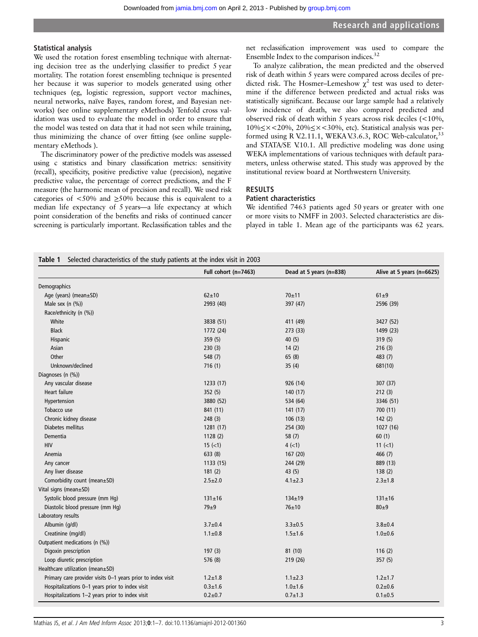# Statistical analysis

We used the rotation forest ensembling technique with alternating decision tree as the underlying classifier to predict 5 year mortality. The rotation forest ensembling technique is presented her because it was superior to models generated using other techniques (eg, logistic regression, support vector machines, neural networks, naïve Bayes, random forest, and Bayesian networks) (see online supplementary eMethods) Tenfold cross validation was used to evaluate the model in order to ensure that the model was tested on data that it had not seen while training, thus minimizing the chance of over fitting (see online supplementary eMethods ).

The discriminatory power of the predictive models was assessed using c statistics and binary classification metrics: sensitivity (recall), specificity, positive predictive value (precision), negative predictive value, the percentage of correct predictions, and the F measure (the harmonic mean of precision and recall). We used risk categories of  $\langle 50\% \rangle$  and  $\geq 50\%$  because this is equivalent to a median life expectancy of 5 years—a life expectancy at which point consideration of the benefits and risks of continued cancer screening is particularly important. Reclassification tables and the

net reclassification improvement was used to compare the Ensemble Index to the comparison indices.<sup>32</sup>

To analyze calibration, the mean predicted and the observed risk of death within 5 years were compared across deciles of predicted risk. The Hosmer–Lemeshow  $\chi^2$  test was used to determine if the difference between predicted and actual risks was statistically significant. Because our large sample had a relatively low incidence of death, we also compared predicted and observed risk of death within 5 years across risk deciles (<10%, 10%≤×<20%, 20%≤×<30%, etc). Statistical analysis was performed using R V.2.11.1, WEKA V.3.6.3, ROC Web-calculator,<sup>3</sup> and STATA/SE V.10.1. All predictive modeling was done using WEKA implementations of various techniques with default parameters, unless otherwise stated. This study was approved by the institutional review board at Northwestern University.

# RESULTS

# Patient characteristics

We identified 7463 patients aged 50 years or greater with one or more visits to NMFF in 2003. Selected characteristics are displayed in table 1. Mean age of the participants was 62 years.

|  | Table 1 Selected characteristics of the study patients at the index visit in 2003 |  |  |  |
|--|-----------------------------------------------------------------------------------|--|--|--|
|--|-----------------------------------------------------------------------------------|--|--|--|

|                                                             | Full cohort $(n=7463)$ | Dead at 5 years (n=838) | Alive at 5 years (n=6625) |
|-------------------------------------------------------------|------------------------|-------------------------|---------------------------|
| Demographics                                                |                        |                         |                           |
| Age (years) (mean±SD)                                       | $62 + 10$              | $70 + 11$               | $61\pm9$                  |
| Male sex $(n (%))$                                          | 2993 (40)              | 397 (47)                | 2596 (39)                 |
| Race/ethnicity (n (%))                                      |                        |                         |                           |
| White                                                       | 3838 (51)              | 411 (49)                | 3427 (52)                 |
| <b>Black</b>                                                | 1772 (24)              | 273 (33)                | 1499 (23)                 |
| Hispanic                                                    | 359(5)                 | 40(5)                   | 319(5)                    |
| Asian                                                       | 230(3)                 | 14(2)                   | 216(3)                    |
| Other                                                       | 548 (7)                | 65(8)                   | 483 (7)                   |
| Unknown/declined                                            | 716(1)                 | 35(4)                   | 681(10)                   |
| Diagnoses (n (%))                                           |                        |                         |                           |
| Any vascular disease                                        | 1233 (17)              | 926 (14)                | 307 (37)                  |
| Heart failure                                               | 352(5)                 | 140(17)                 | 212(3)                    |
| Hypertension                                                | 3880 (52)              | 534 (64)                | 3346 (51)                 |
| Tobacco use                                                 | 841 (11)               | 141(17)                 | 700(11)                   |
| Chronic kidney disease                                      | 248(3)                 | 106(13)                 | 142(2)                    |
| Diabetes mellitus                                           | 1281 (17)              | 254 (30)                | 1027 (16)                 |
| Dementia                                                    | 1128(2)                | 58(7)                   | 60(1)                     |
| <b>HIV</b>                                                  | $15 (=1)$              | $4 (-1)$                | $11 (=1)$                 |
| Anemia                                                      | 633 (8)                | 167 (20)                | 466(7)                    |
| Any cancer                                                  | 1133 (15)              | 244 (29)                | 889 (13)                  |
| Any liver disease                                           | 181(2)                 | 43 (5)                  | 138(2)                    |
| Comorbidity count (mean±SD)                                 | $2.5 \pm 2.0$          | $4.1 \pm 2.3$           | $2.3 \pm 1.8$             |
| Vital signs (mean±SD)                                       |                        |                         |                           |
| Systolic blood pressure (mm Hg)                             | $131 \pm 16$           | $134 \pm 19$            | $131 \pm 16$              |
| Diastolic blood pressure (mm Hq)                            | $79 \pm 9$             | $76 + 10$               | $80\pm9$                  |
| Laboratory results                                          |                        |                         |                           |
| Albumin (q/dl)                                              | $3.7 \pm 0.4$          | $3.3 \pm 0.5$           | $3.8 + 0.4$               |
| Creatinine (mg/dl)                                          | $1.1 \pm 0.8$          | $1.5 \pm 1.6$           | $1.0 + 0.6$               |
| Outpatient medications (n (%))                              |                        |                         |                           |
| Digoxin prescription                                        | 197(3)                 | 81(10)                  | 116(2)                    |
| Loop diuretic prescription                                  | 576 (8)                | 219 (26)                | 357(5)                    |
| Healthcare utilization (mean±SD)                            |                        |                         |                           |
| Primary care provider visits 0-1 years prior to index visit | $1.2 \pm 1.8$          | $1.1 \pm 2.3$           | $1.2 \pm 1.7$             |
| Hospitalizations 0-1 years prior to index visit             | $0.3 + 1.6$            | $1.0 + 1.6$             | $0.2 + 0.6$               |
| Hospitalizations 1-2 years prior to index visit             | $0.2 + 0.7$            | $0.7 \pm 1.3$           | $0.1 + 0.5$               |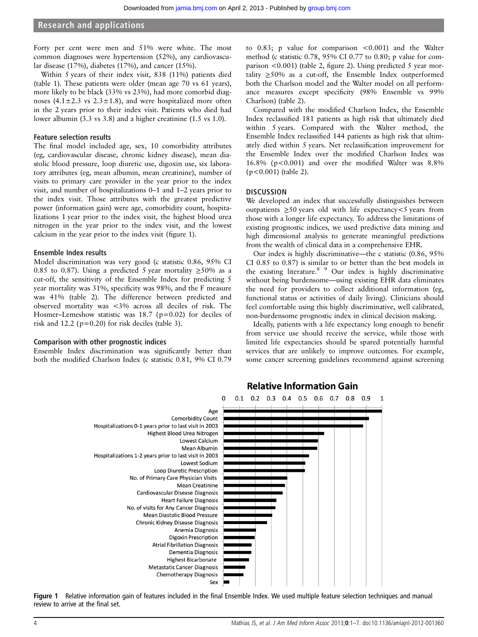# Research and applications

Forty per cent were men and 51% were white. The most common diagnoses were hypertension (52%), any cardiovascular disease (17%), diabetes (17%), and cancer (15%).

Within 5 years of their index visit, 838 (11%) patients died (table 1). These patients were older (mean age 70 vs 61 years), more likely to be black (33% vs 23%), had more comorbid diagnoses  $(4.1 \pm 2.3 \text{ vs } 2.3 \pm 1.8)$ , and were hospitalized more often in the 2 years prior to their index visit. Patients who died had lower albumin (3.3 vs 3.8) and a higher creatinine (1.5 vs 1.0).

#### Feature selection results

The final model included age, sex, 10 comorbidity attributes (eg, cardiovascular disease, chronic kidney disease), mean diastolic blood pressure, loop diuretic use, digoxin use, six laboratory attributes (eg, mean albumin, mean creatinine), number of visits to primary care provider in the year prior to the index visit, and number of hospitalizations 0–1 and 1–2 years prior to the index visit. Those attributes with the greatest predictive power (information gain) were age, comorbidity count, hospitalizations 1 year prior to the index visit, the highest blood urea nitrogen in the year prior to the index visit, and the lowest calcium in the year prior to the index visit (figure 1).

# Ensemble Index results

Model discrimination was very good (c statistic 0.86, 95% CI 0.85 to 0.87). Using a predicted 5 year mortality  $\geq$ 50% as a cut-off, the sensitivity of the Ensemble Index for predicting 5 year mortality was 31%, specificity was 98%, and the F measure was 41% (table 2). The difference between predicted and observed mortality was <3% across all deciles of risk. The Hosmer–Lemeshow statistic was 18.7 (p=0.02) for deciles of risk and 12.2 ( $p=0.20$ ) for risk deciles (table 3).

### Comparison with other prognostic indices

Ensemble Index discrimination was significantly better than both the modified Charlson Index (c statistic 0.81, 9% CI 0.79

to 0.83; p value for comparison <0.001) and the Walter method (c statistic 0.78, 95% CI 0.77 to 0.80; p value for comparison <0.001) (table 2, figure 2). Using predicted 5 year mortality  $\geq$ 50% as a cut-off, the Ensemble Index outperformed both the Charlson model and the Walter model on all performance measures except specificity (98% Ensemble vs 99% Charlson) (table 2).

Compared with the modified Charlson Index, the Ensemble Index reclassified 181 patients as high risk that ultimately died within 5 years. Compared with the Walter method, the Ensemble Index reclassified 144 patients as high risk that ultimately died within 5 years. Net reclassification improvement for the Ensemble Index over the modified Charlson Index was 16.8% (p<0.001) and over the modified Walter was 8.8% (p<0.001) (table 2).

# **DISCUSSION**

We developed an index that successfully distinguishes between outpatients  $\geq 50$  years old with life expectancy <5 years from those with a longer life expectancy. To address the limitations of existing prognostic indices, we used predictive data mining and high dimensional analysis to generate meaningful predictions from the wealth of clinical data in a comprehensive EHR.

Our index is highly discriminative—the c statistic (0.86, 95% CI 0.85 to 0.87) is similar to or better than the best models in the existing literature.<sup>8</sup> <sup>9</sup> Our index is highly discriminative without being burdensome—using existing EHR data eliminates the need for providers to collect additional information (eg, functional status or activities of daily living). Clinicians should feel comfortable using this highly discriminative, well calibrated, non-burdensome prognostic index in clinical decision making.

Ideally, patients with a life expectancy long enough to benefit from service use should receive the service, while those with limited life expectancies should be spared potentially harmful services that are unlikely to improve outcomes. For example, some cancer screening guidelines recommend against screening



# **Relative Information Gain**

Figure 1 Relative information gain of features included in the final Ensemble Index. We used multiple feature selection techniques and manual review to arrive at the final set.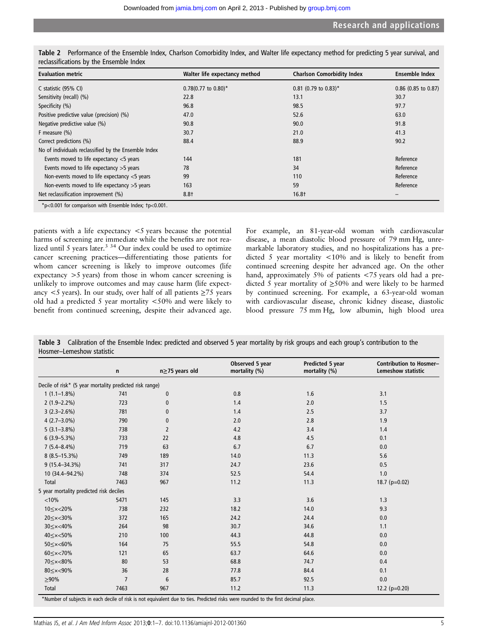| <b>Evaluation metric</b>                             | Walter life expectancy method       | <b>Charlson Comorbidity Index</b> | <b>Ensemble Index</b> |  |
|------------------------------------------------------|-------------------------------------|-----------------------------------|-----------------------|--|
| C statistic (95% CI)                                 | $0.78(0.77)$ to $0.80$ <sup>*</sup> | $0.81$ (0.79 to 0.83)*            | $0.86$ (0.85 to 0.87) |  |
| Sensitivity (recall) (%)                             | 22.8                                | 13.1                              | 30.7                  |  |
| Specificity (%)                                      | 96.8                                | 98.5                              | 97.7                  |  |
| Positive predictive value (precision) (%)            | 47.0                                | 52.6                              | 63.0                  |  |
| Negative predictive value (%)                        | 90.8                                | 90.0                              | 91.8                  |  |
| F measure $(\% )$                                    | 30.7                                | 21.0                              | 41.3                  |  |
| Correct predictions (%)                              | 88.4                                | 88.9                              | 90.2                  |  |
| No of individuals reclassified by the Ensemble Index |                                     |                                   |                       |  |
| Events moved to life expectancy $<$ 5 years          | 144                                 | 181                               | Reference             |  |
| Events moved to life expectancy $>5$ years           | 78                                  | 34                                | Reference             |  |
| Non-events moved to life expectancy <5 years         | 99                                  | 110                               | Reference             |  |
| Non-events moved to life expectancy >5 years         | 163                                 | 59                                | Reference             |  |
| Net reclassification improvement (%)                 | $8.8+$                              | 16.8†                             |                       |  |

Table 2 Performance of the Ensemble Index, Charlson Comorbidity Index, and Walter life expectancy method for predicting 5 year survival, and reclassifications by the Ensemble Index

\*p<0.001 for comparison with Ensemble Index; †p<0.001.

patients with a life expectancy <5 years because the potential harms of screening are immediate while the benefits are not realized until 5 years later. $3 \times 34$  Our index could be used to optimize cancer screening practices—differentiating those patients for whom cancer screening is likely to improve outcomes (life expectancy >5 years) from those in whom cancer screening is unlikely to improve outcomes and may cause harm (life expectancy <5 years). In our study, over half of all patients  $\geq$ 75 years old had a predicted 5 year mortality <50% and were likely to benefit from continued screening, despite their advanced age.

For example, an 81-year-old woman with cardiovascular disease, a mean diastolic blood pressure of 79 mm Hg, unremarkable laboratory studies, and no hospitalizations has a predicted 5 year mortality <10% and is likely to benefit from continued screening despite her advanced age. On the other hand, approximately 5% of patients <75 years old had a predicted 5 year mortality of ≥50% and were likely to be harmed by continued screening. For example, a 63-year-old woman with cardiovascular disease, chronic kidney disease, diastolic blood pressure 75 mm Hg, low albumin, high blood urea

| Table 3 Calibration of the Ensemble Index: predicted and observed 5 year mortality by risk groups and each group's contribution to the |  |  |  |
|----------------------------------------------------------------------------------------------------------------------------------------|--|--|--|
| Hosmer-Lemeshow statistic                                                                                                              |  |  |  |

|                                                                                          | n              | n≥75 years old | Observed 5 year<br>mortality (%) | <b>Predicted 5 year</b><br>mortality (%) | <b>Contribution to Hosmer-</b><br><b>Lemeshow statistic</b> |
|------------------------------------------------------------------------------------------|----------------|----------------|----------------------------------|------------------------------------------|-------------------------------------------------------------|
| Decile of risk* (5 year mortality predicted risk range)                                  |                |                |                                  |                                          |                                                             |
| $1(1.1-1.8\%)$                                                                           | 741            | 0              | 0.8                              | 1.6                                      | 3.1                                                         |
| $2(1.9 - 2.2\%)$                                                                         | 723            | 0              | 1.4                              | 2.0                                      | 1.5                                                         |
| $3(2.3 - 2.6%)$                                                                          | 781            | 0              | 1.4                              | 2.5                                      | 3.7                                                         |
| $4(2.7-3.0\%)$                                                                           | 790            | 0              | 2.0                              | 2.8                                      | 1.9                                                         |
| $5(3.1 - 3.8\%)$                                                                         | 738            | $\overline{2}$ | 4.2                              | 3.4                                      | 1.4                                                         |
| $6(3.9 - 5.3\%)$                                                                         | 733            | 22             | 4.8                              | 4.5                                      | 0.1                                                         |
| $7(5.4 - 8.4\%)$                                                                         | 719            | 63             | 6.7                              | 6.7                                      | 0.0                                                         |
| $8(8.5 - 15.3%)$                                                                         | 749            | 189            | 14.0                             | 11.3                                     | 5.6                                                         |
| $9(15.4 - 34.3\%)$                                                                       | 741            | 317            | 24.7                             | 23.6                                     | 0.5                                                         |
| 10 (34.4-94.2%)                                                                          | 748            | 374            | 52.5                             | 54.4                                     | 1.0                                                         |
| <b>Total</b>                                                                             | 7463           | 967            | 11.2                             | 11.3                                     | 18.7 ( $p=0.02$ )                                           |
| 5 year mortality predicted risk deciles                                                  |                |                |                                  |                                          |                                                             |
| < 10%                                                                                    | 5471           | 145            | 3.3                              | 3.6                                      | 1.3                                                         |
| 10 <x<20%< td=""><td>738</td><td>232</td><td>18.2</td><td>14.0</td><td>9.3</td></x<20%<> | 738            | 232            | 18.2                             | 14.0                                     | 9.3                                                         |
| 20 <<<<<<30%                                                                             | 372            | 165            | 24.2                             | 24.4                                     | 0.0                                                         |
| 30 <<<<<<<<                                                                              | 264            | 98             | 30.7                             | 34.6                                     | 1.1                                                         |
| 40 <<<<<<50%                                                                             | 210            | 100            | 44.3                             | 44.8                                     | 0.0                                                         |
| 50 <<<<<br>60%                                                                           | 164            | 75             | 55.5                             | 54.8                                     | 0.0                                                         |
| 60 <<< 70%                                                                               | 121            | 65             | 63.7                             | 64.6                                     | 0.0                                                         |
| 70 <<<<<<<<                                                                              | 80             | 53             | 68.8                             | 74.7                                     | 0.4                                                         |
| 80 <<<<br>90%                                                                            | 36             | 28             | 77.8                             | 84.4                                     | 0.1                                                         |
| $>90\%$                                                                                  | $\overline{7}$ | 6              | 85.7                             | 92.5                                     | 0.0                                                         |
| Total                                                                                    | 7463           | 967            | 11.2                             | 11.3                                     | 12.2 ( $p=0.20$ )                                           |

\*Number of subjects in each decile of risk is not equivalent due to ties. Predicted risks were rounded to the first decimal place.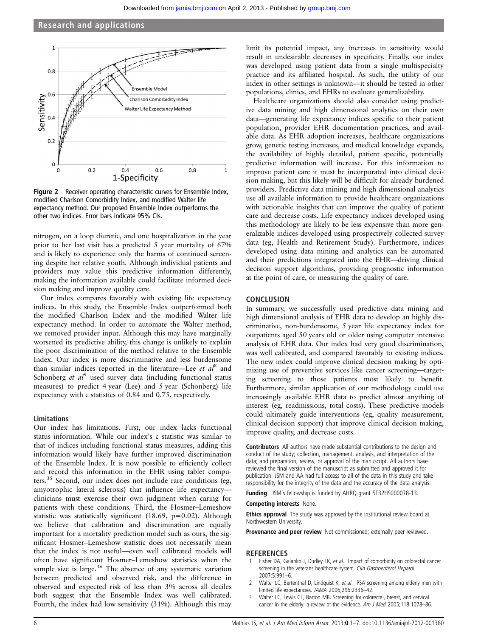

Figure 2 Receiver operating characteristic curves for Ensemble Index, modified Charlson Comorbidity Index, and modified Walter life expectancy method. Our proposed Ensemble Index outperforms the other two indices. Error bars indicate 95% CIs.

nitrogen, on a loop diuretic, and one hospitalization in the year prior to her last visit has a predicted 5 year mortality of 67% and is likely to experience only the harms of continued screening despite her relative youth. Although individual patients and providers may value this predictive information differently, making the information available could facilitate informed decision making and improve quality care.

Our index compares favorably with existing life expectancy indices. In this study, the Ensemble Index outperformed both the modified Charlson Index and the modified Walter life expectancy method. In order to automate the Walter method, we removed provider input. Although this may have marginally worsened its predictive ability, this change is unlikely to explain the poor discrimination of the method relative to the Ensemble Index. Our index is more discriminative and less burdensome than similar indices reported in the literature—Lee *et al*<sup>8</sup> and Schonberg et  $al^9$  used survey data (including functional status measures) to predict 4 year (Lee) and 5 year (Schonberg) life expectancy with c statistics of 0.84 and 0.75, respectively.

# Limitations

Our index has limitations. First, our index lacks functional status information. While our index's c statistic was similar to that of indices including functional status measures, adding this information would likely have further improved discrimination of the Ensemble Index. It is now possible to efficiently collect and record this information in the EHR using tablet computers.<sup>35</sup> Second, our index does not include rare conditions (eg, amyotrophic lateral sclerosis) that influence life expectancy clinicians must exercise their own judgment when caring for patients with these conditions. Third, the Hosmer–Lemeshow statistic was statistically significant (18.69, p=0.02). Although we believe that calibration and discrimination are equally important for a mortality prediction model such as ours, the significant Hosmer–Lemeshow statistic does not necessarily mean that the index is not useful—even well calibrated models will often have significant Hosmer–Lemeshow statistics when the sample size is large.<sup>36</sup> The absence of any systematic variation between predicted and observed risk, and the difference in observed and expected risk of less than 3% across all deciles both suggest that the Ensemble Index was well calibrated. Fourth, the index had low sensitivity (31%). Although this may

limit its potential impact, any increases in sensitivity would result in undesirable decreases in specificity. Finally, our index was developed using patient data from a single multispecialty practice and its affiliated hospital. As such, the utility of our index in other settings is unknown—it should be tested in other populations, clinics, and EHRs to evaluate generalizability.

Healthcare organizations should also consider using predictive data mining and high dimensional analytics on their own data—generating life expectancy indices specific to their patient population, provider EHR documentation practices, and available data. As EHR adoption increases, healthcare organizations grow, genetic testing increases, and medical knowledge expands, the availability of highly detailed, patient specific, potentially predictive information will increase. For this information to improve patient care it must be incorporated into clinical decision making, but this likely will be difficult for already burdened providers. Predictive data mining and high dimensional analytics use all available information to provide healthcare organizations with actionable insights that can improve the quality of patient care and decrease costs. Life expectancy indices developed using this methodology are likely to be less expensive than more generalizable indices developed using prospectively collected survey data (eg, Health and Retirement Study). Furthermore, indices developed using data mining and analytics can be automated and their predictions integrated into the EHR—driving clinical decision support algorithms, providing prognostic information at the point of care, or measuring the quality of care.

# **CONCLUSION**

In summary, we successfully used predictive data mining and high dimensional analysis of EHR data to develop an highly discriminative, non-burdensome, 5 year life expectancy index for outpatients aged 50 years old or older using computer intensive analysis of EHR data. Our index had very good discrimination, was well calibrated, and compared favorably to existing indices. The new index could improve clinical decision making by optimizing use of preventive services like cancer screening—targeting screening to those patients most likely to benefit. Furthermore, similar application of our methodology could use increasingly available EHR data to predict almost anything of interest (eg, readmissions, total costs). These predictive models could ultimately guide interventions (eg, quality measurement, clinical decision support) that improve clinical decision making, improve quality, and decrease costs.

Contributors All authors have made substantial contributions to the design and conduct of the study; collection, management, analysis, and interpretation of the data; and preparation, review, or approval of the manuscript. All authors have reviewed the final version of the manuscript as submitted and approved it for publication. JSM and AA had full access to all of the data in this study and take responsibility for the integrity of the data and the accuracy of the data analysis.

Funding JSM's fellowship is funded by AHRQ grant 5T32HS000078-13.

# Competing interests None.

Ethics approval The study was approved by the institutional review board at Northwestern University.

Provenance and peer review Not commissioned; externally peer reviewed.

#### REFERENCES

- 1 Fisher DA, Galanko J, Dudley TK, et al. Impact of comorbidity on colorectal cancer screening in the veterans healthcare system. Clin Gastroenterol Hepatol 2007;5:991–6.
- 2 Walter LC, Bertenthal D, Lindquist K, et al. PSA screening among elderly men with limited life expectancies. JAMA 2006;296:2336–42.
- 3 Walter LC, Lewis CL, Barton MB. Screening for colorectal, breast, and cervical cancer in the elderly: a review of the evidence. Am J Med 2005;118:1078-86.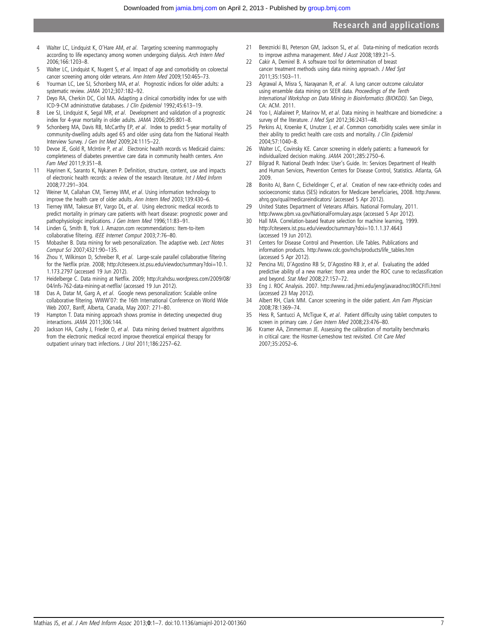# Research and applications

- 4 Walter LC, Lindquist K, O'Hare AM, et al. Targeting screening mammography according to life expectancy among women undergoing dialysis. Arch Intern Med 2006;166:1203–8.
- 5 Walter LC, Lindquist K, Nugent S, et al. Impact of age and comorbidity on colorectal cancer screening among older veterans. Ann Intern Med 2009;150:465–73.
- 6 Yourman LC, Lee SJ, Schonberg MA, et al. Prognostic indices for older adults: a systematic review. JAMA 2012;307:182–92.
- Deyo RA, Cherkin DC, Ciol MA. Adapting a clinical comorbidity index for use with ICD-9-CM administrative databases. J Clin Epidemiol 1992;45:613–19.
- 8 Lee SJ, Lindquist K, Segal MR, et al. Development and validation of a prognostic index for 4-year mortality in older adults. JAMA 2006;295:801–8.
- 9 Schonberg MA, Davis RB, McCarthy EP, et al. Index to predict 5-year mortality of community-dwelling adults aged 65 and older using data from the National Health Interview Survey. J Gen Int Med 2009;24:1115–22.
- 10 Devoe JE, Gold R, McIntire P, et al. Electronic health records vs Medicaid claims: completeness of diabetes preventive care data in community health centers. Ann Fam Med 2011;9:351–8.
- 11 Hayrinen K, Saranto K, Nykanen P. Definition, structure, content, use and impacts of electronic health records: a review of the research literature. Int J Med Inform 2008;77:291–304.
- 12 Weiner M, Callahan CM, Tierney WM, et al. Using information technology to improve the health care of older adults. Ann Intern Med 2003;139:430–6.
- 13 Tierney WM, Takesue BY, Vargo DL, et al. Using electronic medical records to predict mortality in primary care patients with heart disease: prognostic power and pathophysiologic implications. J Gen Intern Med 1996;11:83–91.
- 14 Linden G, Smith B, York J. Amazon.com recommendations: Item-to-item collaborative filtering. IEEE Internet Comput 2003;7:76–80.
- 15 Mobasher B. Data mining for web personalization. The adaptive web. Lect Notes Comput Sci 2007;4321:90–135.
- 16 Zhou Y, Wilkinson D, Schreiber R, et al. Large-scale parallel collaborative filtering for the Netflix prize. 2008; [http://citeseerx.ist.psu.edu/viewdoc/summary?doi=10.1.](http://citeseerx.ist.psu.edu/viewdoc/summary?doi=10.1.1.173.2797) [1.173.2797](http://citeseerx.ist.psu.edu/viewdoc/summary?doi=10.1.1.173.2797) (accessed 19 Jun 2012).
- 17 Heidelberge C. Data mining at Netflix. 2009; [http://cahdsu.wordpress.com/2009/08/](http://cahdsu.wordpress.com/2009/08/04/infs-762-data-mining-at-netflix/) [04/infs-762-data-mining-at-net](http://cahdsu.wordpress.com/2009/08/04/infs-762-data-mining-at-netflix/)flix/ (accessed 19 Jun 2012).
- 18 Das A, Datar M, Garg A, et al. Google news personalization: Scalable online collaborative filtering. WWW'07: the 16th International Conference on World Wide Web 2007, Banff, Alberta, Canada, May 2007: 271–80.
- 19 Hampton T. Data mining approach shows promise in detecting unexpected drug interactions. JAMA 2011;306:144.
- 20 Jackson HA, Cashy J, Frieder O, et al. Data mining derived treatment algorithms from the electronic medical record improve theoretical empirical therapy for outpatient urinary tract infections. J Urol 2011;186:2257–62.
- 21 Bereznicki BJ, Peterson GM, Jackson SL, et al. Data-mining of medication records to improve asthma management. Med J Aust 2008;189:21-5.
- 22 Cakir A, Demirel B. A software tool for determination of breast cancer treatment methods using data mining approach. J Med Syst 2011;35:1503–11.
- 23 Agrawal A, Misra S, Narayanan R, et al. A lung cancer outcome calculator using ensemble data mining on SEER data. Proceedings of the Tenth International Workshop on Data Mining in Bioinformatics (BIOKDD). San Diego, CA: ACM. 2011.
- 24 Yoo I, Alafaireet P, Marinov M, et al. Data mining in healthcare and biomedicine: a survey of the literature. J Med Syst 2012;36:2431–48.
- 25 Perkins AJ, Kroenke K, Unutzer J, et al. Common comorbidity scales were similar in their ability to predict health care costs and mortality. J Clin Epidemiol 2004;57:1040–8.
- 26 Walter LC, Covinsky KE. Cancer screening in elderly patients: a framework for individualized decision making. JAMA 2001;285:2750–6.
- 27 Bilgrad R. National Death Index: User's Guide. In: Services Department of Health and Human Services, Prevention Centers for Disease Control, Statistics. Atlanta, GA 2009.
- 28 Bonito AJ, Bann C, Eicheldinger C, et al. Creation of new race-ethnicity codes and socioeconomic status (SES) indicators for Medicare beneficiaries, 2008. [http://www.](http://www.ahrq.gov/qual/medicareindicators/) [ahrq.gov/qual/medicareindicators/](http://www.ahrq.gov/qual/medicareindicators/) (accessed 5 Apr 2012).
- 29 United States Department of Veterans Affairs. National Formulary, 2011. <http://www.pbm.va.gov/NationalFormulary.aspx> (accessed 5 Apr 2012).
- 30 Hall MA. Correlation-based feature selection for machine learning, 1999. <http://citeseerx.ist.psu.edu/viewdoc/summary?doi=10.1.1.37.4643> (accessed 19 Jun 2012).
- 31 Centers for Disease Control and Prevention. Life Tables. Publications and information products. [http://www.cdc.gov/nchs/products/life\\_tables.htm](http://www.cdc.gov/nchs/products/life_tables.htm) (accessed 5 Apr 2012).
- 32 Pencina MJ, D'Agostino RB Sr, D'Agostino RB Jr, et al. Evaluating the added predictive ability of a new marker: from area under the ROC curve to reclassification and beyond. Stat Med 2008;27:157–72.
- 33 Eng J. ROC Analysis. 2007.<http://www.rad.jhmi.edu/jeng/javarad/roc/JROCFITi.html> (accessed 23 May 2012).
- 34 Albert RH, Clark MM. Cancer screening in the older patient. Am Fam Physician 2008;78:1369–74.
- 35 Hess R, Santucci A, McTigue K, et al. Patient difficulty using tablet computers to screen in primary care. J Gen Intern Med 2008;23:476-80.
- 36 Kramer AA, Zimmerman JE. Assessing the calibration of mortality benchmarks in critical care: the Hosmer-Lemeshow test revisited. Crit Care Med 2007;35:2052–6.